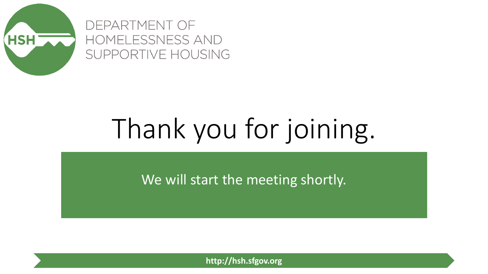

DEPARTMENT OF HOMELESSNESS AND SUPPORTIVE HOUSING

# Thank you for joining.

We will start the meeting shortly.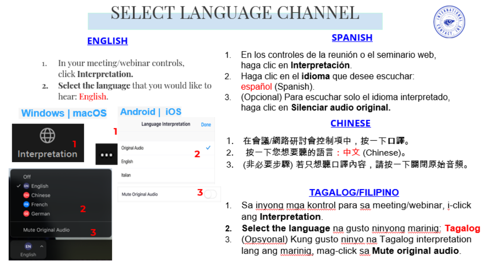## SELECT LANGUAGE CHANNEL



## **ENGLISH**

- In your meeting/webinar controls,  $1.$ click Interpretation.
- **Select the language** that you would like to  $2.1$ hear: English.

| <b>Windows   macOS</b>                   | <b>Android</b>   IOS    |      |
|------------------------------------------|-------------------------|------|
|                                          | Language Interpretation | Done |
|                                          |                         |      |
| Interpretation<br>m -                    | Original Audio          | V    |
|                                          | English                 |      |
| Off                                      | Italian                 |      |
| <b>IN English</b><br>Chinese             | Mute Original Audio     |      |
| French                                   |                         |      |
| 2<br>German                              |                         |      |
| Mute Original Audio                      |                         |      |
| EN<br>$\partial \mathbf{b}_i$<br>English |                         |      |

### **SPANISH**

- En los controles de la reunión o el seminario web,  $1$ haga clic en Interpretación.
- Haga clic en el idioma que desee escuchar:  $2<sub>1</sub>$ español (Spanish).
- (Opcional) Para escuchar solo el idioma interpretado,  $3$ haga clic en Silenciar audio original.

### **CHINESE**

- 1. 在會議/網路研討會控制項中,按一下口譯。
- 按一下您想要聽的語言:中文 (Chinese)。  $2.7$
- 3. (非必要步驟) 若只想聽口譯內容,請按一下關閉原始音頻。

## **TAGALOG/FILIPINO**

- Sa <u>inyong mga kontrol</u> para sa meeting/webinar, i-click 1. ang Interpretation.
- Select the language na gusto ninvong marinig: Tagalog  $2.$
- (Opsyonal) Kung gusto ninyo na Tagalog interpretation 3 lang ang marinig, mag-click sa Mute original audio.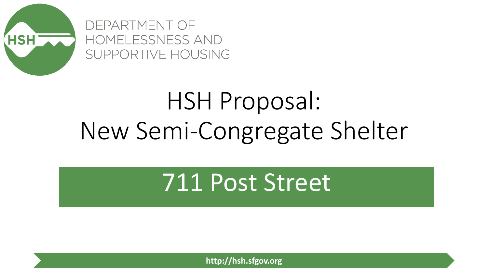

DEPARTMENT OF HOMELESSNESS AND SUPPORTIVE HOUSING

# HSH Proposal: New Semi-Congregate Shelter

## 711 Post Street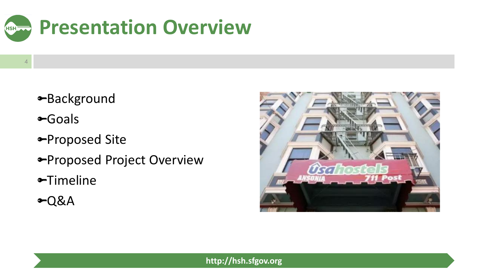

- Background
- Goals

- Proposed Site
- *<del>•</del>Proposed Project Overview*
- Timeline
- Q&A

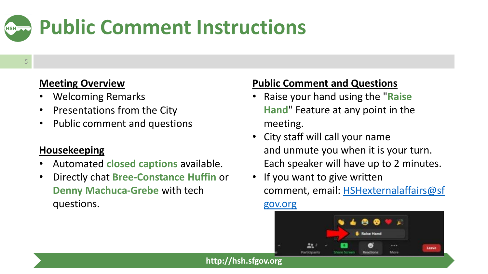

#### 5

#### **Meeting Overview**

- Welcoming Remarks
- Presentations from the City
- Public comment and questions

#### **Housekeeping**

- Automated **closed captions** available.
- Directly chat **Bree-Constance Huffin** or **Denny Machuca-Grebe** with tech questions.

#### **Public Comment and Questions**

- Raise your hand using the "**Raise Hand**" Feature at any point in the meeting.
- City staff will call your name and unmute you when it is your turn. Each speaker will have up to 2 minutes.
- If you want to give written comment, email: [HSHexternalaffairs@sf](mailto:HSHexternalaffairs@sfgov.org) gov.org

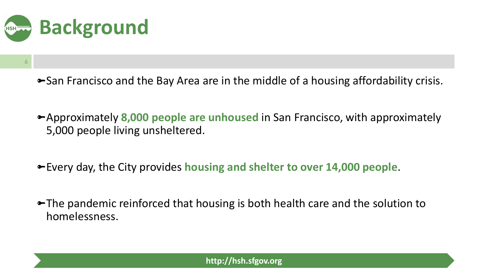

- San Francisco and the Bay Area are in the middle of a housing affordability crisis.
- Approximately **8,000 people are unhoused** in San Francisco, with approximately 5,000 people living unsheltered.
- Every day, the City provides **housing and shelter to over 14,000 people**.
- **The pandemic reinforced that housing is both health care and the solution to** homelessness.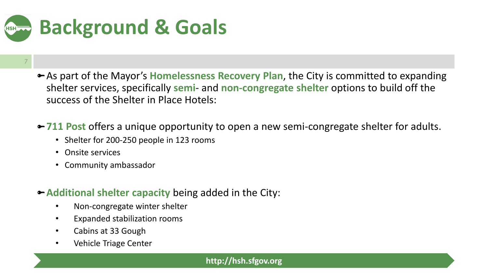

- 7
- As part of the Mayor's **Homelessness Recovery Plan**, the City is committed to expanding shelter services, specifically **semi**- and **non-congregate shelter** options to build off the success of the Shelter in Place Hotels:
- **711 Post** offers a unique opportunity to open a new semi-congregate shelter for adults.
	- Shelter for 200-250 people in 123 rooms
	- Onsite services
	- Community ambassador
- **Additional shelter capacity** being added in the City:
	- Non-congregate winter shelter
	- Expanded stabilization rooms
	- Cabins at 33 Gough
	- Vehicle Triage Center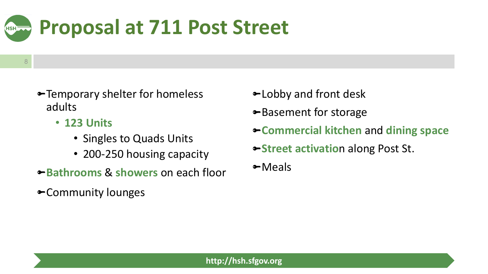

- 8
- Temporary shelter for homeless adults
	- **123 Units**
		- Singles to Quads Units
		- 200-250 housing capacity
- **Bathrooms** & **showers** on each floor
- Community lounges
- **►Lobby and front desk**
- Basement for storage
- **Commercial kitchen** and **dining space**
- **Street activation along Post St.**
- Meals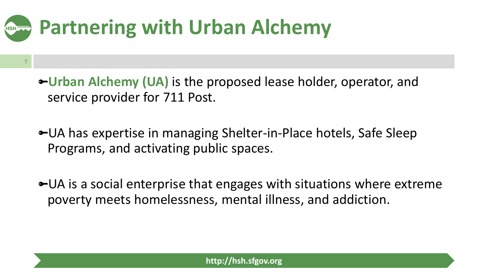## **Partnering with Urban AlchemyHSH**

- **Urban Alchemy (UA)** is the proposed lease holder, operator, and service provider for 711 Post.
- UA has expertise in managing Shelter-in-Place hotels, Safe Sleep Programs, and activating public spaces.
- **UA** is a social enterprise that engages with situations where extreme poverty meets homelessness, mental illness, and addiction.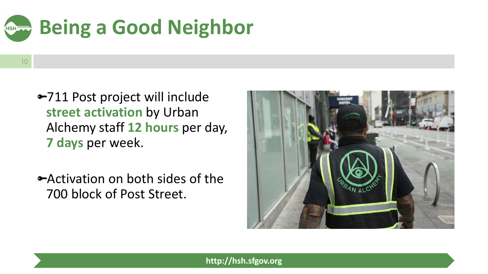

- 10
- 711 Post project will include **street activation** by Urban Alchemy staff **12 hours** per day, **7 days** per week.
- Activation on both sides of the 700 block of Post Street.

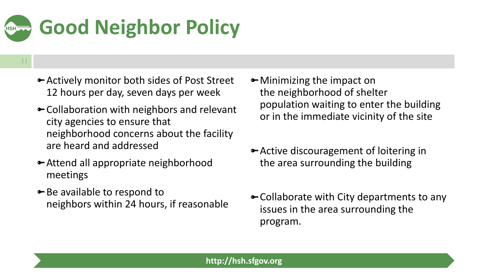## **Good Neighbor PolicyHSH**

- Actively monitor both sides of Post Street 12 hours per day, seven days per week
- Collaboration with neighbors and relevant city agencies to ensure that neighborhood concerns about the facility are heard and addressed
- Attend all appropriate neighborhood meetings
- **►** Be available to respond to neighbors within 24 hours, if reasonable
- Minimizing the impact on the neighborhood of shelter population waiting to enter the building or in the immediate vicinity of the site
- Active discouragement of loitering in the area surrounding the building
- Collaborate with City departments to any issues in the area surrounding the program.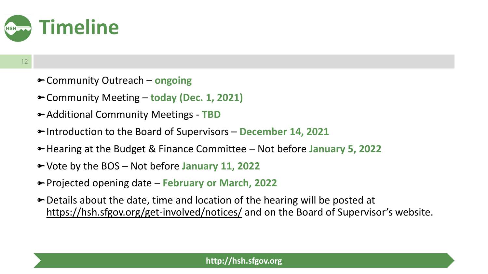

- Community Outreach **ongoing**
- Community Meeting **today (Dec. 1, 2021)**
- Additional Community Meetings **TBD**
- Introduction to the Board of Supervisors **December 14, 2021**
- Hearing at the Budget & Finance Committee Not before **January 5, 2022**
- Vote by the BOS Not before **January 11, 2022**
- Projected opening date **February or March, 2022**
- Details about the date, time and location of the hearing will be posted at <https://hsh.sfgov.org/get-involved/notices/> and on the Board of Supervisor's website.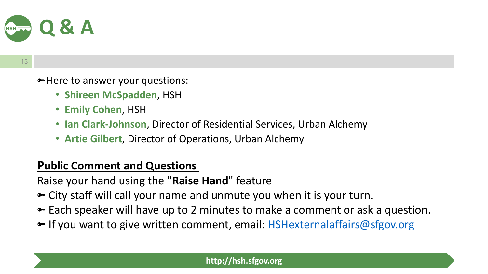

• Here to answer your questions:

- **Shireen McSpadden**, HSH
- **Emily Cohen**, HSH
- **Ian Clark-Johnson**, Director of Residential Services, Urban Alchemy
- **Artie Gilbert**, Director of Operations, Urban Alchemy

## **Public Comment and Questions**

Raise your hand using the "**Raise Hand**" feature

- City staff will call your name and unmute you when it is your turn.
- Each speaker will have up to 2 minutes to make a comment or ask a question.
- If you want to give written comment, email: **[HSHexternalaffairs@sfgov.org](mailto:HSHexternalaffairs@sfgov.org)**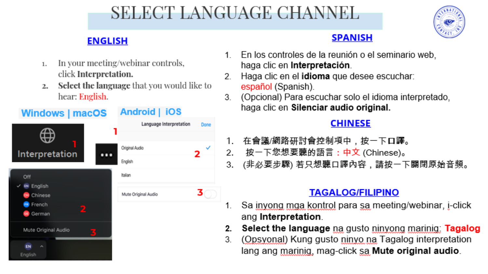## SELECT LANGUAGE CHANNEL



## **ENGLISH**

- In your meeting/webinar controls,  $1.$ click Interpretation.
- **Select the language** that you would like to  $2.1$ hear: English.

| <b>Windows   macOS</b>                   | <b>Android</b>   IOS    |      |
|------------------------------------------|-------------------------|------|
|                                          | Language Interpretation | Done |
|                                          |                         |      |
| Interpretation<br>m -                    | Original Audio          | V    |
|                                          | English                 |      |
| Off                                      | Italian                 |      |
| <b>IN English</b><br>Chinese             | Mute Original Audio     |      |
| French                                   |                         |      |
| 2<br>German                              |                         |      |
| Mute Original Audio                      |                         |      |
| EN<br>$\partial \mathbf{b}_i$<br>English |                         |      |

### **SPANISH**

- En los controles de la reunión o el seminario web,  $1$ haga clic en Interpretación.
- Haga clic en el idioma que desee escuchar:  $2<sub>1</sub>$ español (Spanish).
- (Opcional) Para escuchar solo el idioma interpretado,  $3$ haga clic en Silenciar audio original.

### **CHINESE**

- 1. 在會議/網路研討會控制項中,按一下口譯。
- 按一下您想要聽的語言:中文 (Chinese)。  $2.7$
- 3. (非必要步驟) 若只想聽口譯內容,請按一下關閉原始音頻。

## **TAGALOG/FILIPINO**

- Sa <u>inyong mga kontrol</u> para sa meeting/webinar, i-click 1. ang Interpretation.
- Select the language na gusto ninvong marinig: Tagalog  $2.$
- (Opsyonal) Kung gusto ninyo na Tagalog interpretation 3 lang ang marinig, mag-click sa Mute original audio.